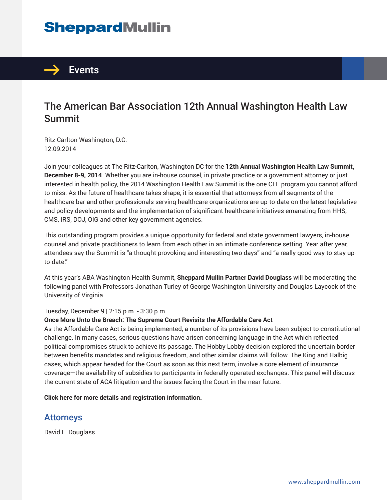# **SheppardMullin**



# The American Bar Association 12th Annual Washington Health Law Summit

Ritz Carlton Washington, D.C. 12.09.2014

Join your colleagues at The Ritz-Carlton, Washington DC for the **12th Annual Washington Health Law Summit, December 8-9, 2014**. Whether you are in-house counsel, in private practice or a government attorney or just interested in health policy, the 2014 Washington Health Law Summit is the one CLE program you cannot afford to miss. As the future of healthcare takes shape, it is essential that attorneys from all segments of the healthcare bar and other professionals serving healthcare organizations are up-to-date on the latest legislative and policy developments and the implementation of significant healthcare initiatives emanating from HHS, CMS, IRS, DOJ, OIG and other key government agencies.

This outstanding program provides a unique opportunity for federal and state government lawyers, in-house counsel and private practitioners to learn from each other in an intimate conference setting. Year after year, attendees say the Summit is "a thought provoking and interesting two days" and "a really good way to stay upto-date."

At this year's ABA Washington Health Summit, **Sheppard Mullin Partner David Douglass** will be moderating the following panel with Professors Jonathan Turley of George Washington University and Douglas Laycock of the University of Virginia.

### Tuesday, December 9 | 2:15 p.m. - 3:30 p.m.

#### **Once More Unto the Breach: The Supreme Court Revisits the Affordable Care Act**

As the Affordable Care Act is being implemented, a number of its provisions have been subject to constitutional challenge. In many cases, serious questions have arisen concerning language in the Act which reflected political compromises struck to achieve its passage. The Hobby Lobby decision explored the uncertain border between benefits mandates and religious freedom, and other similar claims will follow. The King and Halbig cases, which appear headed for the Court as soon as this next term, involve a core element of insurance coverage—the availability of subsidies to participants in federally operated exchanges. This panel will discuss the current state of ACA litigation and the issues facing the Court in the near future.

**Click here for more details and registration information.**

### Attorneys

David L. Douglass